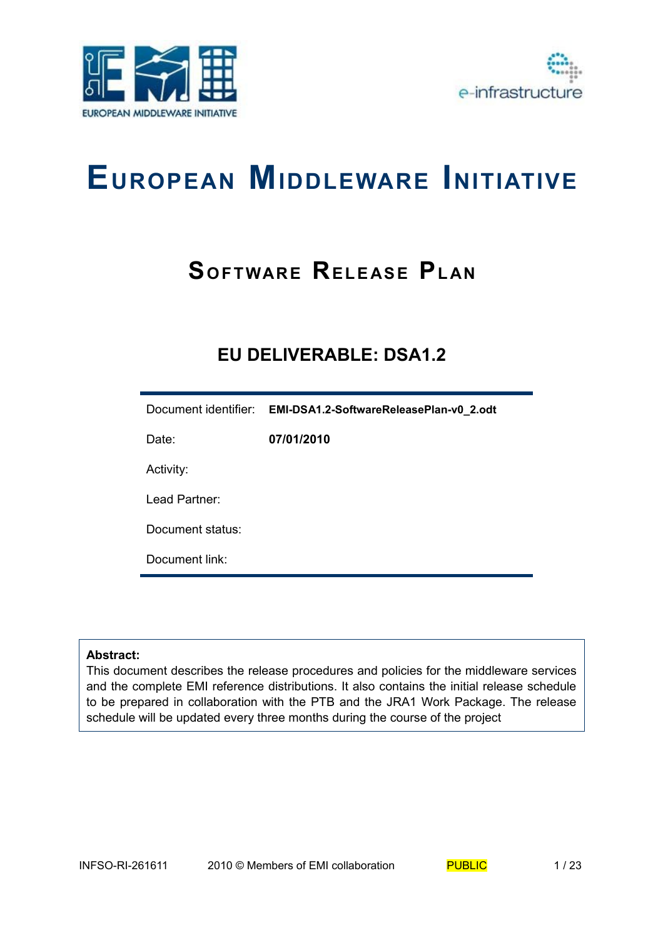



# **EUROPEAN MIDDLEWARE INITIATIVE**

## **SO FT WAR E REL E AS E PL AN**

## **EU DELIVERABLE: DSA1.2**

Document identifier: **EMI-DSA1.2-SoftwareReleasePlan-v0\_2.odt**

Date: **07/01/2010**

Activity:

Lead Partner:

Document status:

Document link:

#### **Abstract:**

This document describes the release procedures and policies for the middleware services and the complete EMI reference distributions. It also contains the initial release schedule to be prepared in collaboration with the PTB and the JRA1 Work Package. The release schedule will be updated every three months during the course of the project

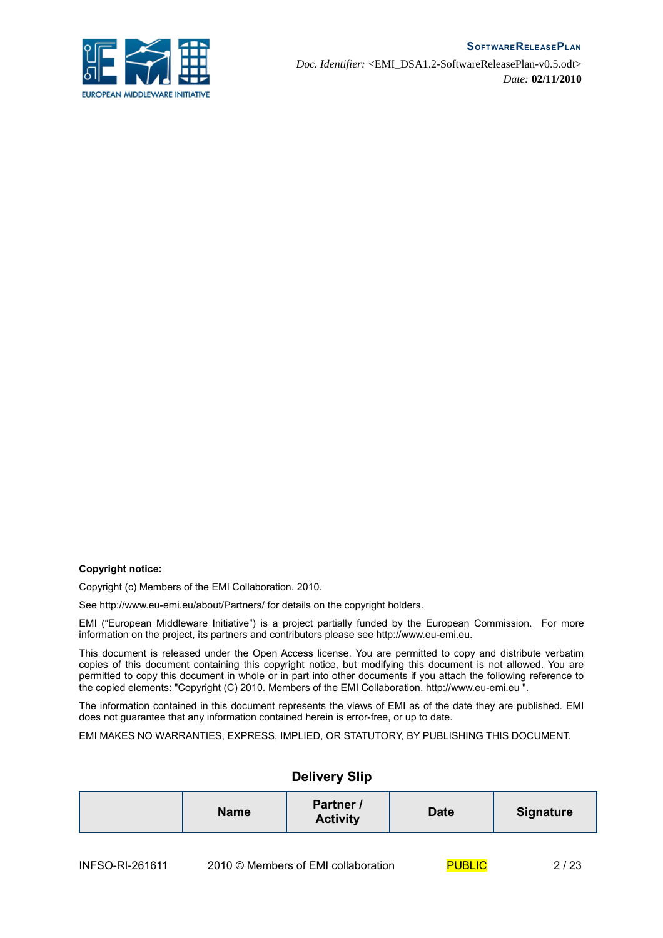

#### **SOFTWARERELEASEPLAN** *Doc. Identifier:* <EMI\_DSA1.2-SoftwareReleasePlan-v0.5.odt> *Date:* **02/11/2010**

#### **Copyright notice:**

Copyright (c) Members of the EMI Collaboration. 2010.

See http://www.eu-emi.eu/about/Partners/ for details on the copyright holders.

EMI ("European Middleware Initiative") is a project partially funded by the European Commission. For more information on the project, its partners and contributors please see http://www.eu-emi.eu.

This document is released under the Open Access license. You are permitted to copy and distribute verbatim copies of this document containing this copyright notice, but modifying this document is not allowed. You are permitted to copy this document in whole or in part into other documents if you attach the following reference to the copied elements: "Copyright (C) 2010. Members of the EMI Collaboration. http://www.eu-emi.eu ".

The information contained in this document represents the views of EMI as of the date they are published. EMI does not guarantee that any information contained herein is error-free, or up to date.

EMI MAKES NO WARRANTIES, EXPRESS, IMPLIED, OR STATUTORY, BY PUBLISHING THIS DOCUMENT.

| <b>Delively Olip</b> |             |                              |             |                  |
|----------------------|-------------|------------------------------|-------------|------------------|
|                      | <b>Name</b> | Partner /<br><b>Activity</b> | <b>Date</b> | <b>Signature</b> |

## **Delivery Slip**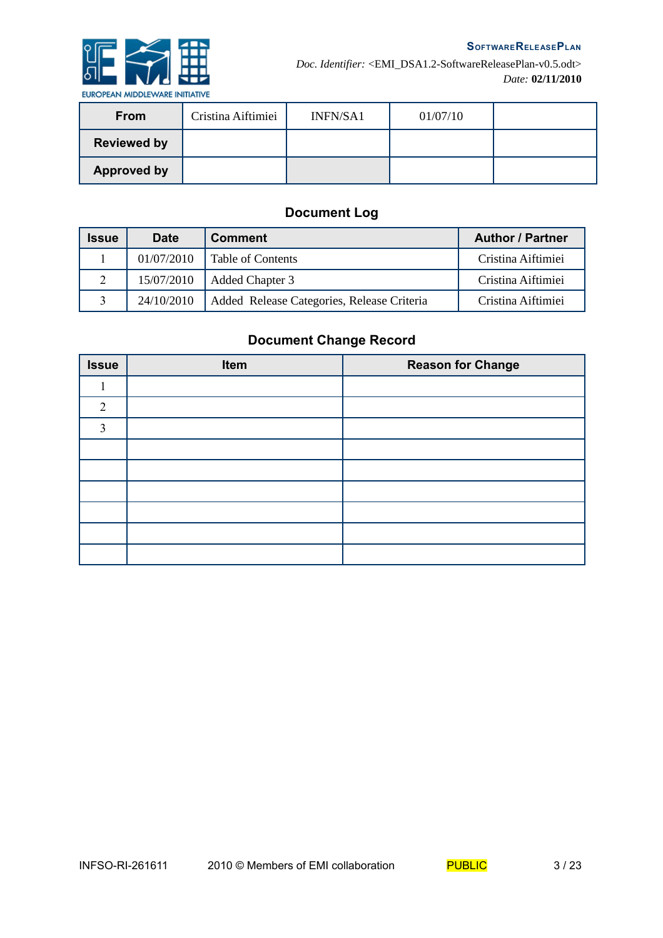

| From               | Cristina Aiftimiei | <b>INFN/SA1</b> | 01/07/10 |  |
|--------------------|--------------------|-----------------|----------|--|
| <b>Reviewed by</b> |                    |                 |          |  |
| <b>Approved by</b> |                    |                 |          |  |

#### **Document Log**

| <b>Issue</b>      | <b>Date</b> | <b>Comment</b>                             | <b>Author / Partner</b> |
|-------------------|-------------|--------------------------------------------|-------------------------|
|                   | 01/07/2010  | Table of Contents                          | Cristina Aiftimiei      |
| $\gamma$          | 15/07/2010  | Added Chapter 3                            | Cristina Aiftimiei      |
| $\mathbf{\Omega}$ | 24/10/2010  | Added Release Categories, Release Criteria | Cristina Aiftimiei      |

## **Document Change Record**

| <b>Issue</b>   | Item | <b>Reason for Change</b> |
|----------------|------|--------------------------|
|                |      |                          |
| $\overline{2}$ |      |                          |
| $\mathbf{3}$   |      |                          |
|                |      |                          |
|                |      |                          |
|                |      |                          |
|                |      |                          |
|                |      |                          |
|                |      |                          |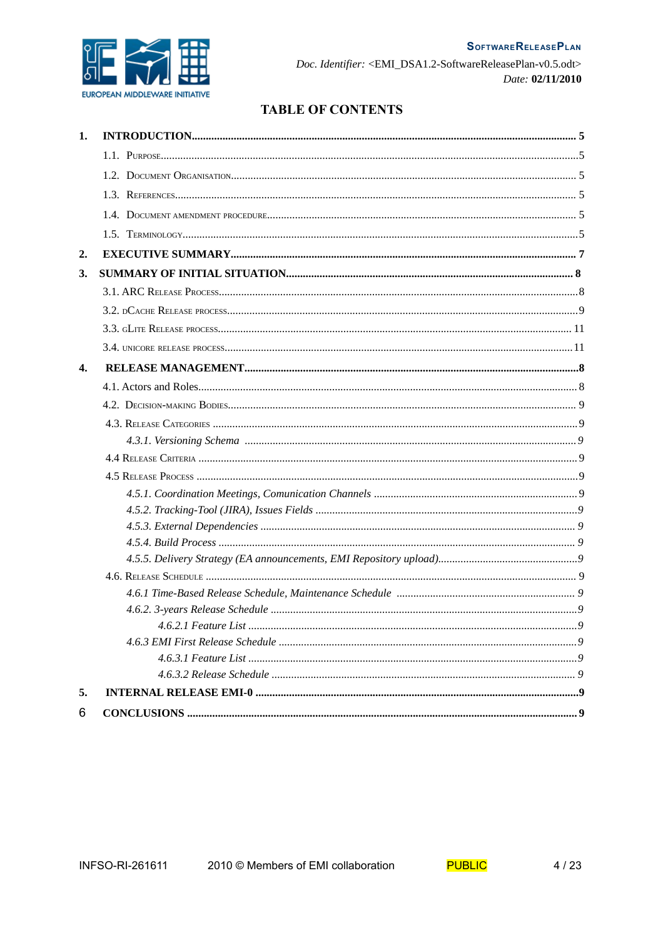

## **TABLE OF CONTENTS**

| 1.           |   |
|--------------|---|
|              |   |
|              |   |
|              |   |
|              |   |
|              |   |
| 2.           |   |
| 3.           |   |
|              |   |
|              |   |
|              |   |
|              |   |
|              |   |
| $\mathbf{4}$ |   |
|              |   |
|              |   |
|              |   |
|              |   |
|              |   |
|              |   |
|              |   |
|              |   |
|              |   |
|              |   |
|              |   |
|              |   |
|              |   |
|              | 9 |
|              |   |
|              |   |
|              |   |
| 5.           |   |
| 6            |   |
|              |   |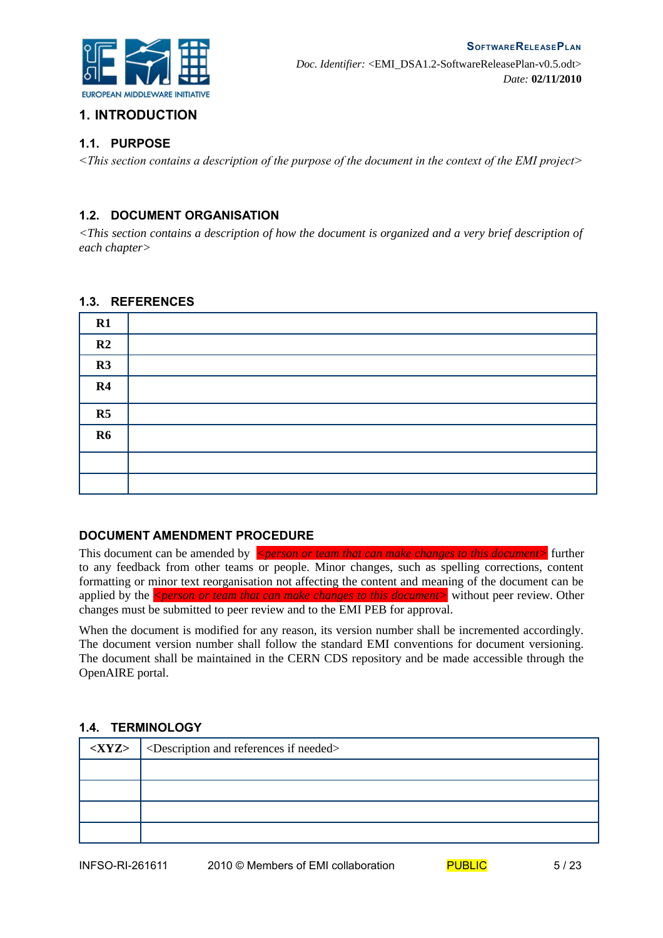

#### **1. INTRODUCTION**

#### **1.1. PURPOSE**

*<This section contains a description of the purpose of the document in the context of the EMI project>*

#### **1.2. DOCUMENT ORGANISATION**

*<This section contains a description of how the document is organized and a very brief description of each chapter>*

#### **1.3. REFERENCES**

| R1             |  |
|----------------|--|
| $\mathbf{R2}$  |  |
| R3             |  |
| R <sub>4</sub> |  |
| R5             |  |
| <b>R6</b>      |  |
|                |  |
|                |  |

#### **DOCUMENT AMENDMENT PROCEDURE**

This document can be amended by *sperson or team that can make changes to this document* to any feedback from other teams or people. Minor changes, such as spelling corrections, content formatting or minor text reorganisation not affecting the content and meaning of the document can be applied by the *<u><person or team that can make changes to this document>* without peer review. Other</u> changes must be submitted to peer review and to the EMI PEB for approval.

When the document is modified for any reason, its version number shall be incremented accordingly. The document version number shall follow the standard EMI conventions for document versioning. The document shall be maintained in the CERN CDS repository and be made accessible through the OpenAIRE portal.

#### **1.4. TERMINOLOGY**

| $\langle$ XYZ> $\rangle$ <description and="" if="" needed="" references=""></description> |
|-------------------------------------------------------------------------------------------|
|                                                                                           |
|                                                                                           |
|                                                                                           |
|                                                                                           |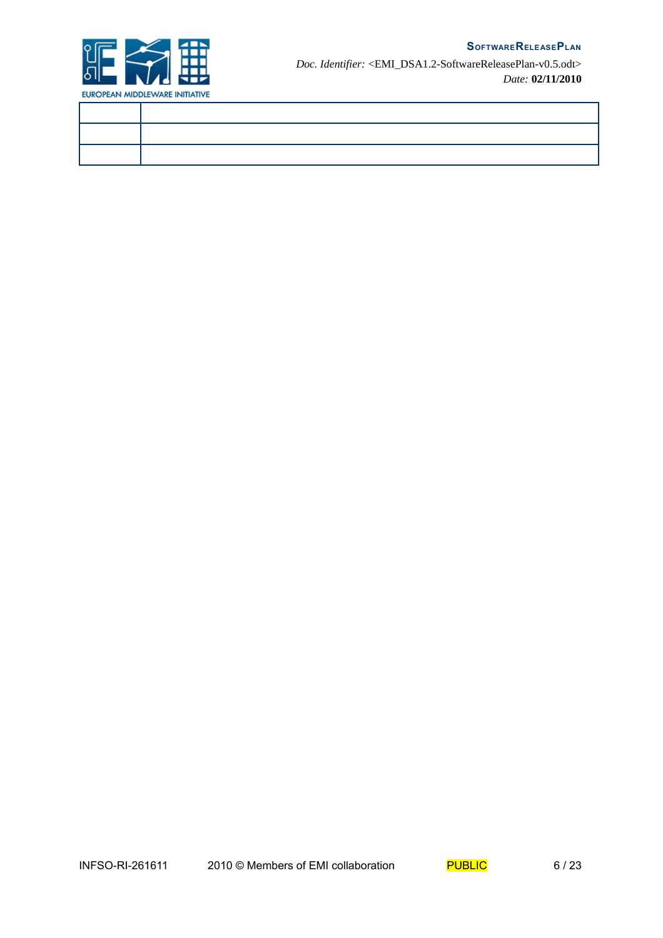

*Doc. Identifier:* <EMI\_DSA1.2-SoftwareReleasePlan-v0.5.odt> *Date:* **02/11/2010**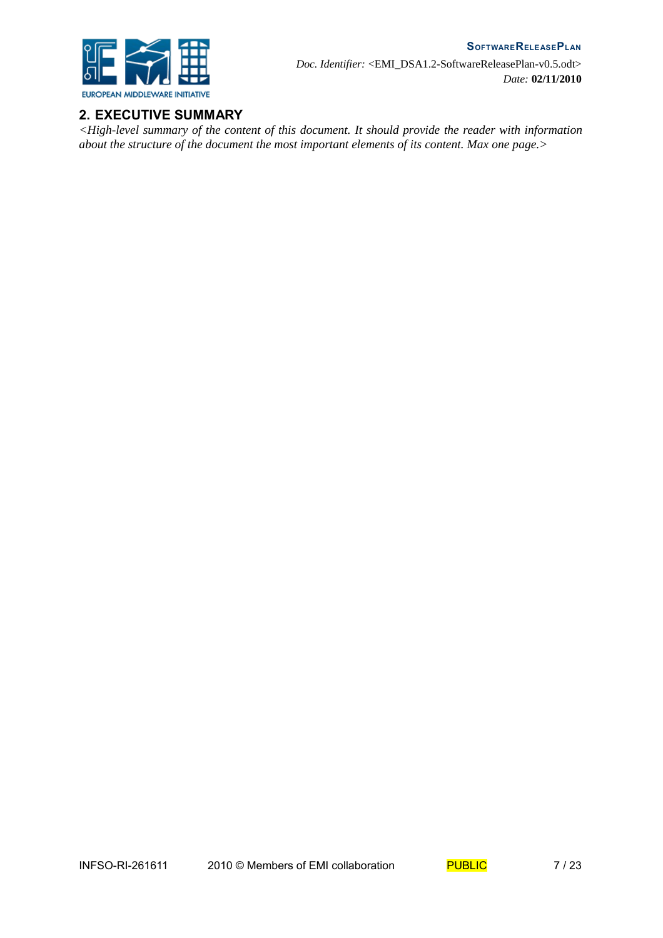

#### **2. EXECUTIVE SUMMARY**

*<High-level summary of the content of this document. It should provide the reader with information about the structure of the document the most important elements of its content. Max one page.>*

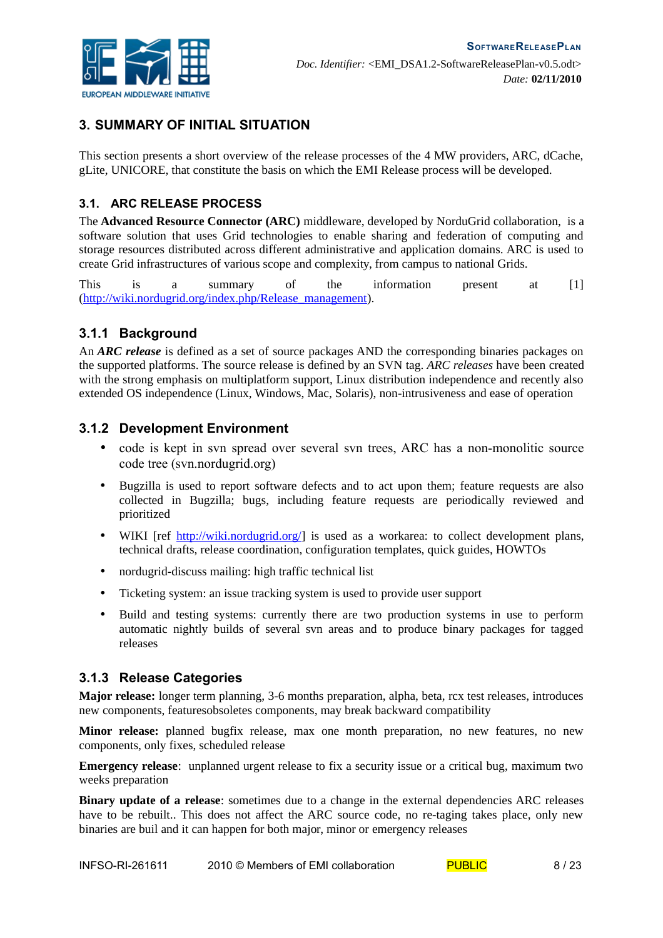

## **3. SUMMARY OF INITIAL SITUATION**

This section presents a short overview of the release processes of the 4 MW providers, ARC, dCache, gLite, UNICORE, that constitute the basis on which the EMI Release process will be developed.

#### **3.1. ARC RELEASE PROCESS**

The **Advanced Resource Connector (ARC)** middleware, developed by NorduGrid collaboration, is a software solution that uses Grid technologies to enable sharing and federation of computing and storage resources distributed across different administrative and application domains. ARC is used to create Grid infrastructures of various scope and complexity, from campus to national Grids.

This is a summary of the information present at [1] [\(http://wiki.nordugrid.org/index.php/Release\\_management\)](http://wiki.nordugrid.org/index.php/Release_management).

#### **3.1.1 Background**

An *ARC release* is defined as a set of source packages AND the corresponding binaries packages on the supported platforms. The source release is defined by an SVN tag. *ARC releases* have been created with the strong emphasis on multiplatform support, Linux distribution independence and recently also extended OS independence (Linux, Windows, Mac, Solaris), non-intrusiveness and ease of operation

#### **3.1.2 Development Environment**

- code is kept in svn spread over several svn trees, ARC has a non-monolitic source code tree (svn.nordugrid.org)
- Bugzilla is used to report software defects and to act upon them; feature requests are also collected in Bugzilla; bugs, including feature requests are periodically reviewed and prioritized
- WIKI [ref [http://wiki.nordugrid.org/\]](http://wiki.nordugrid.org/) is used as a workarea: to collect development plans, technical drafts, release coordination, configuration templates, quick guides, HOWTOs
- nordugrid-discuss mailing: high traffic technical list
- Ticketing system: an issue tracking system is used to provide user support
- Build and testing systems: currently there are two production systems in use to perform automatic nightly builds of several svn areas and to produce binary packages for tagged releases

#### **3.1.3 Release Categories**

**Major release:** longer term planning, 3-6 months preparation, alpha, beta, rcx test releases, introduces new components, featuresobsoletes components, may break backward compatibility

**Minor release:** planned bugfix release, max one month preparation, no new features, no new components, only fixes, scheduled release

**Emergency release**: unplanned urgent release to fix a security issue or a critical bug, maximum two weeks preparation

**Binary update of a release**: sometimes due to a change in the external dependencies ARC releases have to be rebuilt.. This does not affect the ARC source code, no re-taging takes place, only new binaries are buil and it can happen for both major, minor or emergency releases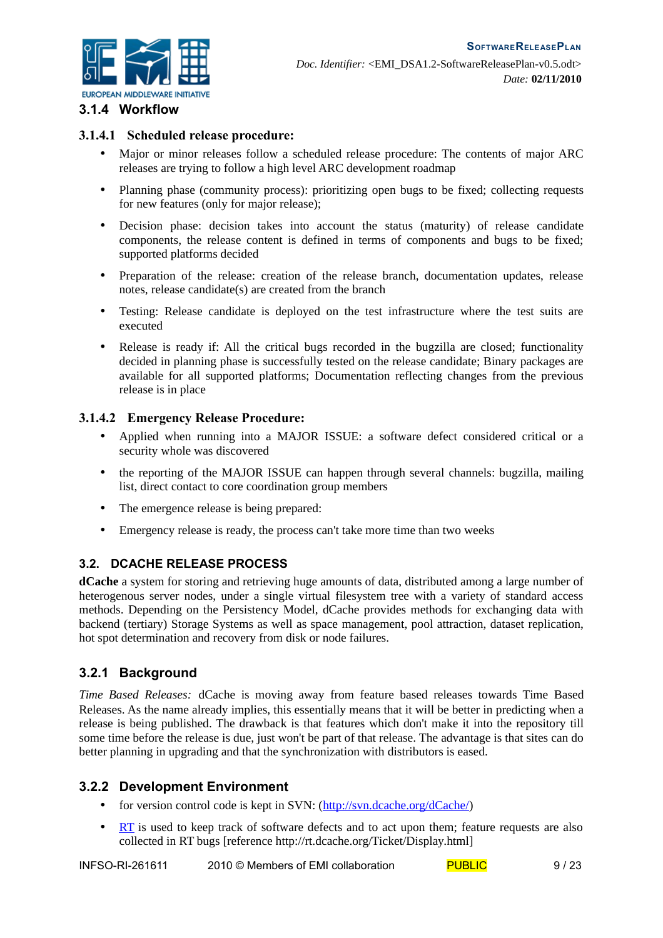

#### **3.1.4 Workflow**

#### **3.1.4.1 Scheduled release procedure:**

- Major or minor releases follow a scheduled release procedure: The contents of major ARC releases are trying to follow a high level ARC development roadmap
- Planning phase (community process): prioritizing open bugs to be fixed; collecting requests for new features (only for major release);
- Decision phase: decision takes into account the status (maturity) of release candidate components, the release content is defined in terms of components and bugs to be fixed; supported platforms decided
- Preparation of the release: creation of the release branch, documentation updates, release notes, release candidate(s) are created from the branch
- Testing: Release candidate is deployed on the test infrastructure where the test suits are executed
- Release is ready if: All the critical bugs recorded in the bugzilla are closed; functionality decided in planning phase is successfully tested on the release candidate; Binary packages are available for all supported platforms; Documentation reflecting changes from the previous release is in place

#### **3.1.4.2 Emergency Release Procedure:**

- Applied when running into a MAJOR ISSUE: a software defect considered critical or a security whole was discovered
- the reporting of the MAJOR ISSUE can happen through several channels: bugzilla, mailing list, direct contact to core coordination group members
- The emergence release is being prepared:
- Emergency release is ready, the process can't take more time than two weeks

#### **3.2. DCACHE RELEASE PROCESS**

**dCache** a system for storing and retrieving huge amounts of data, distributed among a large number of heterogenous server nodes, under a single virtual filesystem tree with a variety of standard access methods. Depending on the Persistency Model, dCache provides methods for exchanging data with backend (tertiary) Storage Systems as well as space management, pool attraction, dataset replication, hot spot determination and recovery from disk or node failures.

#### **3.2.1 Background**

*Time Based Releases:* dCache is moving away from feature based releases towards Time Based Releases. As the name already implies, this essentially means that it will be better in predicting when a release is being published. The drawback is that features which don't make it into the repository till some time before the release is due, just won't be part of that release. The advantage is that sites can do better planning in upgrading and that the synchronization with distributors is eased.

#### **3.2.2 Development Environment**

- for version control code is kept in SVN: [\(http://svn.dcache.org/dCache/\)](http://svn.dcache.org/dCache/)
- • [RT](http://rt.dcache.org/Ticket/Display.html) is used to keep track of software defects and to act upon them; feature requests are also collected in RT bugs [reference http://rt.dcache.org/Ticket/Display.html]

INFSO-RI-261611 2010 © Members of EMI collaboration PUBLIC 9/23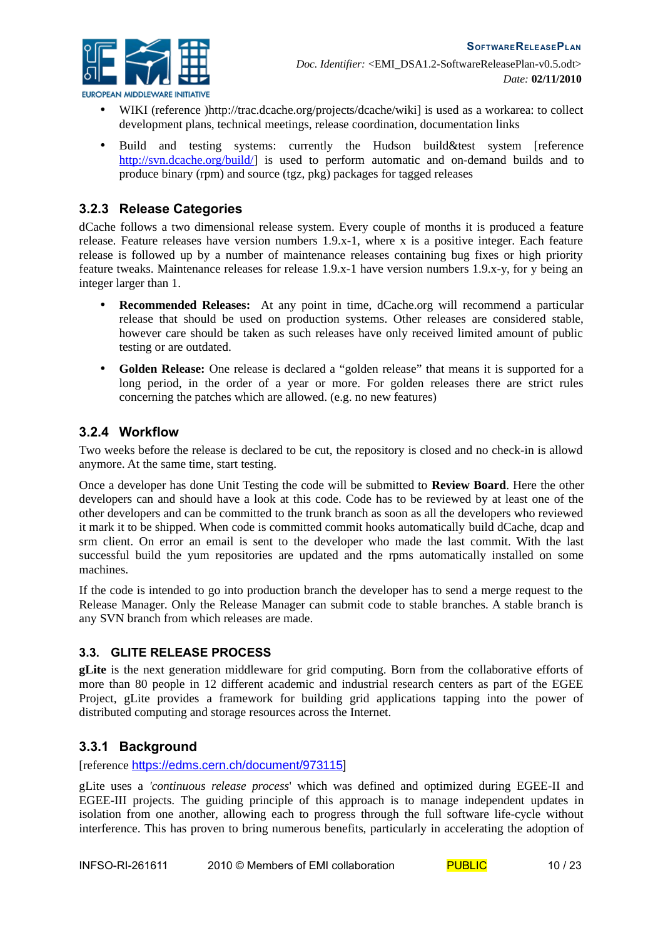

- WIKI (reference )http://trac.dcache.org/projects/dcache/wiki] is used as a workarea: to collect development plans, technical meetings, release coordination, documentation links
- Build and testing systems: currently the Hudson build & test system [reference [http://svn.dcache.org/build/\]](http://svn.dcache.org/build/) is used to perform automatic and on-demand builds and to produce binary (rpm) and source (tgz, pkg) packages for tagged releases

#### **3.2.3 Release Categories**

dCache follows a two dimensional release system. Every couple of months it is produced a feature release. Feature releases have version numbers 1.9.x-1, where x is a positive integer. Each feature release is followed up by a number of maintenance releases containing bug fixes or high priority feature tweaks. Maintenance releases for release 1.9.x-1 have version numbers 1.9.x-y, for y being an integer larger than 1.

- **Recommended Releases:** At any point in time, dCache.org will recommend a particular release that should be used on production systems. Other releases are considered stable, however care should be taken as such releases have only received limited amount of public testing or are outdated.
- **Golden Release:** One release is declared a "golden release" that means it is supported for a long period, in the order of a year or more. For golden releases there are strict rules concerning the patches which are allowed. (e.g. no new features)

#### **3.2.4 Workflow**

Two weeks before the release is declared to be cut, the repository is closed and no check-in is allowd anymore. At the same time, start testing.

Once a developer has done Unit Testing the code will be submitted to **Review Board**. Here the other developers can and should have a look at this code. Code has to be reviewed by at least one of the other developers and can be committed to the trunk branch as soon as all the developers who reviewed it mark it to be shipped. When code is committed commit hooks automatically build dCache, dcap and srm client. On error an email is sent to the developer who made the last commit. With the last successful build the yum repositories are updated and the rpms automatically installed on some machines.

If the code is intended to go into production branch the developer has to send a merge request to the Release Manager. Only the Release Manager can submit code to stable branches. A stable branch is any SVN branch from which releases are made.

#### **3.3. GLITE RELEASE PROCESS**

**gLite** is the next generation middleware for grid computing. Born from the collaborative efforts of more than 80 people in 12 different academic and industrial research centers as part of the EGEE Project, gLite provides a framework for building grid applications tapping into the power of distributed computing and storage resources across the Internet.

#### **3.3.1 Background**

[reference [https://edms.cern.ch/document/973115\]](https://edms.cern.ch/document/973115)

gLite uses a *'continuous release process*' which was defined and optimized during EGEE-II and EGEE-III projects. The guiding principle of this approach is to manage independent updates in isolation from one another, allowing each to progress through the full software life-cycle without interference. This has proven to bring numerous benefits, particularly in accelerating the adoption of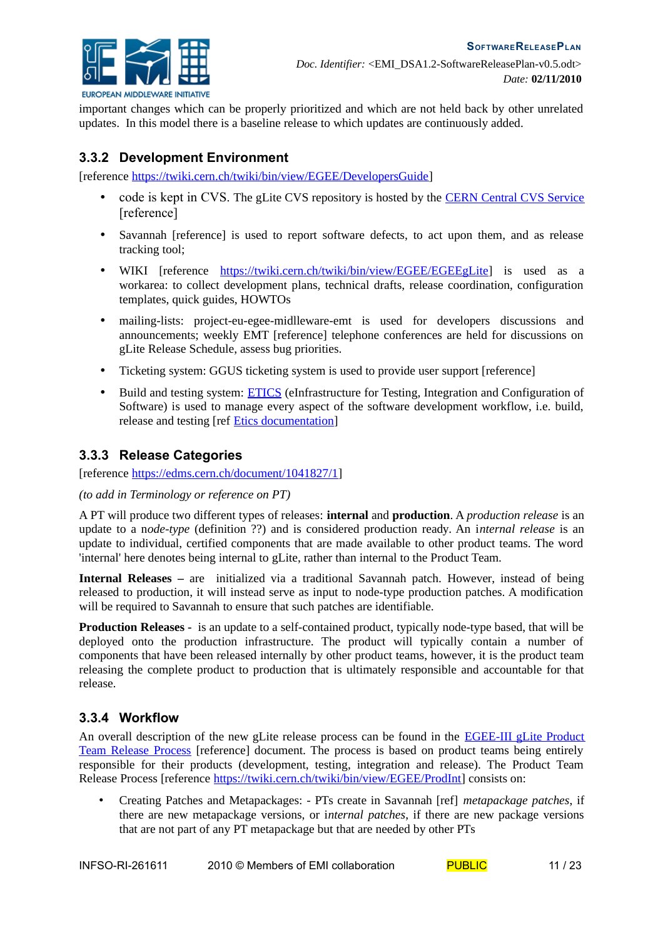

important changes which can be properly prioritized and which are not held back by other unrelated updates. In this model there is a baseline release to which updates are continuously added.

#### **3.3.2 Development Environment**

[reference [https://twiki.cern.ch/twiki/bin/view/EGEE/DevelopersGuide\]](https://twiki.cern.ch/twiki/bin/view/EGEE/DevelopersGuide)

- code is kept in CVS. The gLite CVS repository is hosted by the **CERN Central CVS Service** [reference]
- Savannah [reference] is used to report software defects, to act upon them, and as release tracking tool;
- WIKI [reference [https://twiki.cern.ch/twiki/bin/view/EGEE/EGEEgLite\]](https://twiki.cern.ch/twiki/bin/view/EGEE/EGEEgLite) is used as a workarea: to collect development plans, technical drafts, release coordination, configuration templates, quick guides, HOWTOs
- mailing-lists: project-eu-egee-midlleware-emt is used for developers discussions and announcements; weekly EMT [reference] telephone conferences are held for discussions on gLite Release Schedule, assess bug priorities.
- Ticketing system: GGUS ticketing system is used to provide user support [reference]
- Build and testing system: **ETICS** (eInfrastructure for Testing, Integration and Configuration of Software) is used to manage every aspect of the software development workflow, i.e. build, release and testing [ref [Etics documentation\]](https://twiki.cern.ch/twiki/bin/view/ETICS/WebHome)

#### **3.3.3 Release Categories**

[reference [https://edms.cern.ch/document/1041827/1\]](https://edms.cern.ch/document/1041827/1)

*(to add in Terminology or reference on PT)*

A PT will produce two different types of releases: **internal** and **production**. A *production release* is an update to a n*ode-type* (definition ??) and is considered production ready. An i*nternal release* is an update to individual, certified components that are made available to other product teams. The word 'internal' here denotes being internal to gLite, rather than internal to the Product Team.

**Internal Releases –** are initialized via a traditional Savannah patch. However, instead of being released to production, it will instead serve as input to node-type production patches. A modification will be required to Savannah to ensure that such patches are identifiable.

**Production Releases -** is an update to a self-contained product, typically node-type based, that will be deployed onto the production infrastructure. The product will typically contain a number of components that have been released internally by other product teams, however, it is the product team releasing the complete product to production that is ultimately responsible and accountable for that release.

#### **3.3.4 Workflow**

An overall description of the new gLite release process can be found in the **EGEE-III** gLite Product [Team Release Process](https://edms.cern.ch/document/1041827/1) [reference] document. The process is based on product teams being entirely responsible for their products (development, testing, integration and release). The Product Team Release Process [reference [https://twiki.cern.ch/twiki/bin/view/EGEE/ProdInt\]](https://twiki.cern.ch/twiki/bin/view/EGEE/ProdInt) consists on:

• Creating Patches and Metapackages: - PTs create in Savannah [ref] *metapackage patches*, if there are new metapackage versions, or i*nternal patches*, if there are new package versions that are not part of any PT metapackage but that are needed by other PTs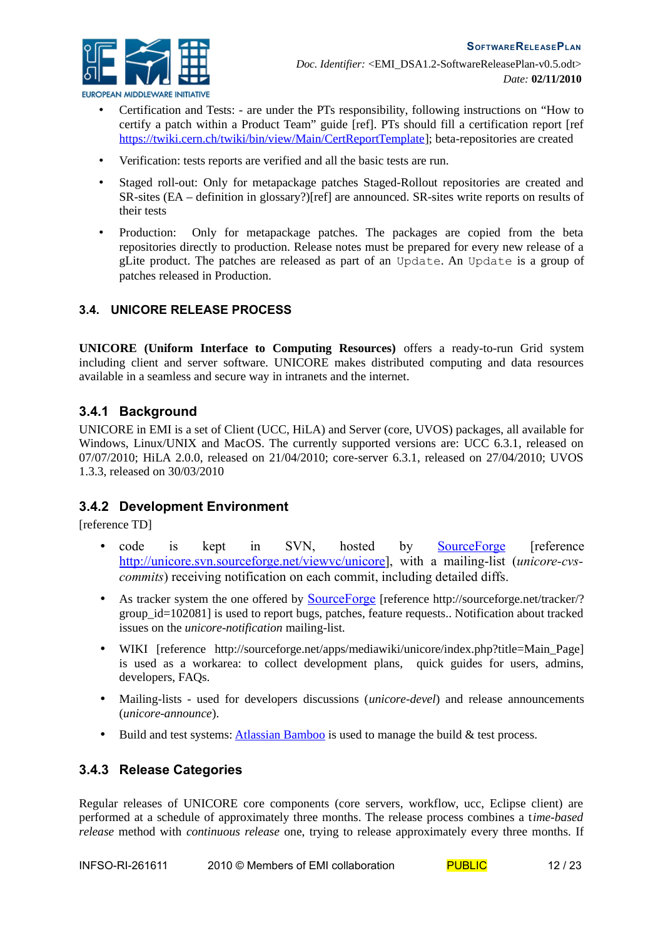

**EUROPEAN MIDDLEWARE INITIATIVE** 

- Certification and Tests: are under the PTs responsibility, following instructions on "How to certify a patch within a Product Team" guide [ref]. PTs should fill a certification report [ref [https://twiki.cern.ch/twiki/bin/view/Main/CertReportTemplate\]](https://twiki.cern.ch/twiki/bin/view/Main/CertReportTemplate); beta-repositories are created
- Verification: tests reports are verified and all the basic tests are run.
- Staged roll-out: Only for metapackage patches Staged-Rollout repositories are created and SR-sites (EA – definition in glossary?)[ref] are announced. SR-sites write reports on results of their tests
- Production: Only for metapackage patches. The packages are copied from the beta repositories directly to production. Release notes must be prepared for every new release of a gLite product. The patches are released as part of an Update. An Update is a group of patches released in Production.

#### **3.4. UNICORE RELEASE PROCESS**

**UNICORE (Uniform Interface to Computing Resources)** offers a ready-to-run Grid system including client and server software. UNICORE makes distributed computing and data resources available in a seamless and secure way in intranets and the internet.

#### **3.4.1 Background**

UNICORE in EMI is a set of Client (UCC, HiLA) and Server (core, UVOS) packages, all available for Windows, Linux/UNIX and MacOS. The currently supported versions are: UCC 6.3.1, released on 07/07/2010; HiLA 2.0.0, released on 21/04/2010; core-server 6.3.1, released on 27/04/2010; UVOS 1.3.3, released on 30/03/2010

#### **3.4.2 Development Environment**

[reference TD]

- code is kept in SVN, hosted by [SourceForge](http://sourceforge.net/) [reference] [http://unicore.svn.sourceforge.net/viewvc/unicore\]](http://unicore.svn.sourceforge.net/viewvc/unicore), with a mailing-list (*unicore-cvscommits*) receiving notification on each commit, including detailed diffs.
- As tracker system the one offered by **[SourceForge](http://sourceforge.net/)** [reference http://sourceforge.net/tracker/? group\_id=102081] is used to report bugs, patches, feature requests.. Notification about tracked issues on the *unicore-notification* mailing-list.
- WIKI [reference http://sourceforge.net/apps/mediawiki/unicore/index.php?title=Main\_Page] is used as a workarea: to collect development plans, quick guides for users, admins, developers, FAQs.
- Mailing-lists used for developers discussions (*unicore-devel*) and release announcements (*unicore-announce*).
- Build and test systems: [Atlassian Bamboo](http://unicore-dev.zam.kfa-juelich.de/bamboo/start.action;jsessionid=1ththaa1402c1) is used to manage the build & test process.

#### **3.4.3 Release Categories**

Regular releases of UNICORE core components (core servers, workflow, ucc, Eclipse client) are performed at a schedule of approximately three months. The release process combines a t*ime-based release* method with *continuous release* one, trying to release approximately every three months. If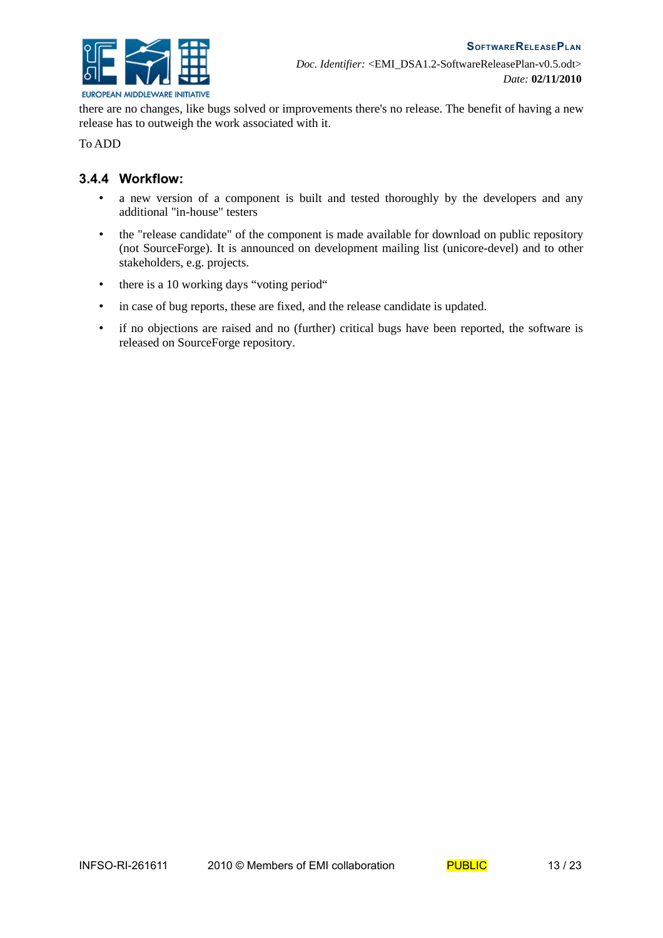

there are no changes, like bugs solved or improvements there's no release. The benefit of having a new release has to outweigh the work associated with it.

To ADD

#### **3.4.4 Workflow:**

- a new version of a component is built and tested thoroughly by the developers and any additional "in-house" testers
- the "release candidate" of the component is made available for download on public repository (not SourceForge). It is announced on development mailing list (unicore-devel) and to other stakeholders, e.g. projects.
- there is a 10 working days "voting period"
- in case of bug reports, these are fixed, and the release candidate is updated.
- if no objections are raised and no (further) critical bugs have been reported, the software is released on SourceForge repository.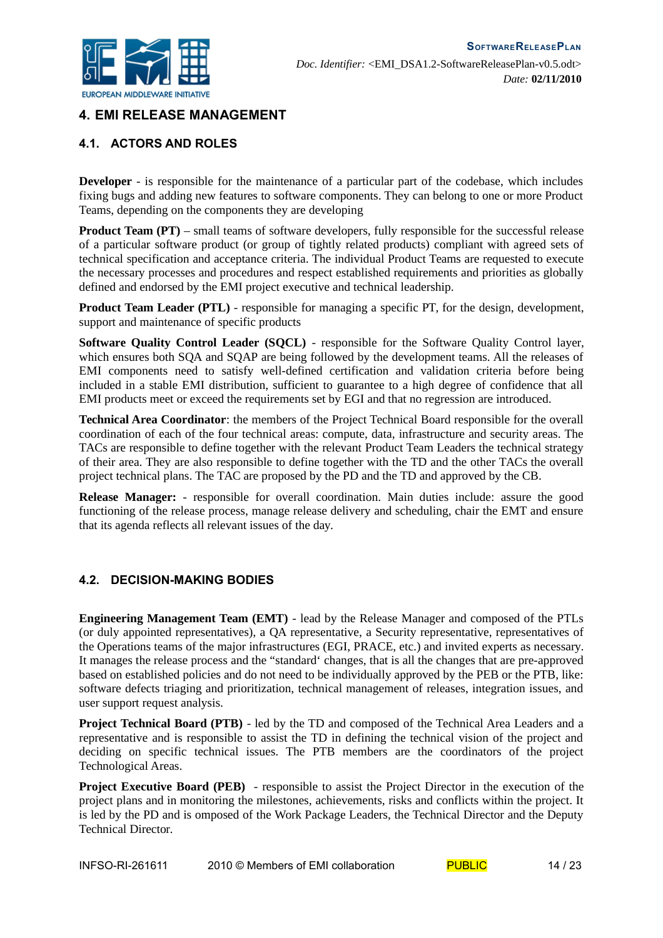

#### **4. EMI RELEASE MANAGEMENT**

#### **4.1. ACTORS AND ROLES**

**Developer** - is responsible for the maintenance of a particular part of the codebase, which includes fixing bugs and adding new features to software components. They can belong to one or more Product Teams, depending on the components they are developing

**Product Team (PT)** – small teams of software developers, fully responsible for the successful release of a particular software product (or group of tightly related products) compliant with agreed sets of technical specification and acceptance criteria. The individual Product Teams are requested to execute the necessary processes and procedures and respect established requirements and priorities as globally defined and endorsed by the EMI project executive and technical leadership.

**Product Team Leader (PTL)** - responsible for managing a specific PT, for the design, development, support and maintenance of specific products

**Software Quality Control Leader (SQCL)** - responsible for the Software Quality Control layer, which ensures both SQA and SQAP are being followed by the development teams. All the releases of EMI components need to satisfy well-defined certification and validation criteria before being included in a stable EMI distribution, sufficient to guarantee to a high degree of confidence that all EMI products meet or exceed the requirements set by EGI and that no regression are introduced.

**Technical Area Coordinator**: the members of the Project Technical Board responsible for the overall coordination of each of the four technical areas: compute, data, infrastructure and security areas. The TACs are responsible to define together with the relevant Product Team Leaders the technical strategy of their area. They are also responsible to define together with the TD and the other TACs the overall project technical plans. The TAC are proposed by the PD and the TD and approved by the CB.

**Release Manager:** - responsible for overall coordination. Main duties include: assure the good functioning of the release process, manage release delivery and scheduling, chair the EMT and ensure that its agenda reflects all relevant issues of the day.

#### **4.2. DECISION-MAKING BODIES**

**Engineering Management Team (EMT)** - lead by the Release Manager and composed of the PTLs (or duly appointed representatives), a QA representative, a Security representative, representatives of the Operations teams of the major infrastructures (EGI, PRACE, etc.) and invited experts as necessary. It manages the release process and the "standard' changes, that is all the changes that are pre-approved based on established policies and do not need to be individually approved by the PEB or the PTB, like: software defects triaging and prioritization, technical management of releases, integration issues, and user support request analysis.

**Project Technical Board (PTB)** - led by the TD and composed of the Technical Area Leaders and a representative and is responsible to assist the TD in defining the technical vision of the project and deciding on specific technical issues. The PTB members are the coordinators of the project Technological Areas.

**Project Executive Board (PEB)** - responsible to assist the Project Director in the execution of the project plans and in monitoring the milestones, achievements, risks and conflicts within the project. It is led by the PD and is omposed of the Work Package Leaders, the Technical Director and the Deputy Technical Director.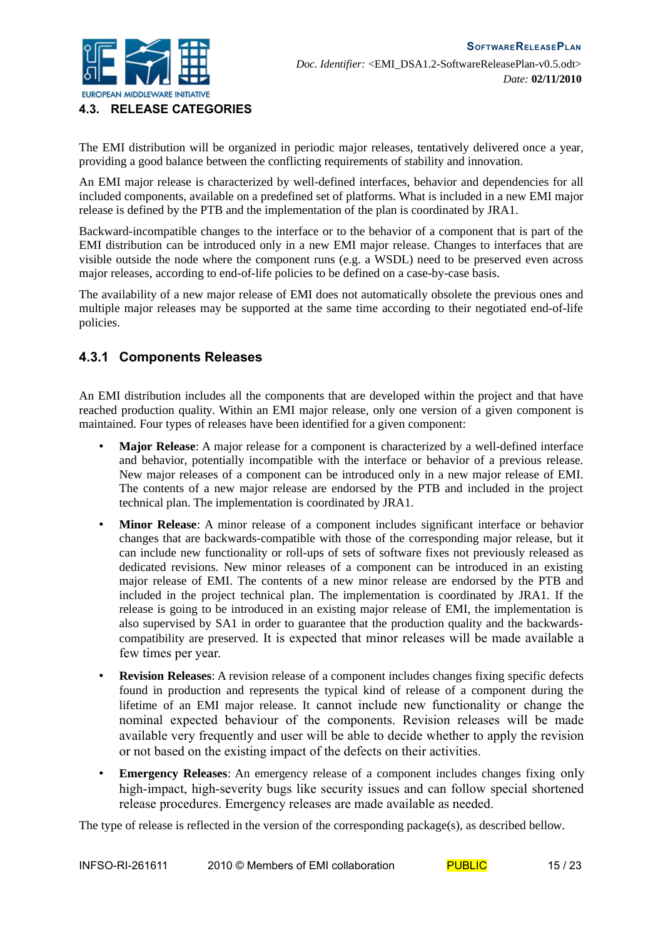

The EMI distribution will be organized in periodic major releases, tentatively delivered once a year, providing a good balance between the conflicting requirements of stability and innovation.

An EMI major release is characterized by well-defined interfaces, behavior and dependencies for all included components, available on a predefined set of platforms. What is included in a new EMI major release is defined by the PTB and the implementation of the plan is coordinated by JRA1.

Backward-incompatible changes to the interface or to the behavior of a component that is part of the EMI distribution can be introduced only in a new EMI major release. Changes to interfaces that are visible outside the node where the component runs (e.g. a WSDL) need to be preserved even across major releases, according to end-of-life policies to be defined on a case-by-case basis.

The availability of a new major release of EMI does not automatically obsolete the previous ones and multiple major releases may be supported at the same time according to their negotiated end-of-life policies.

#### **4.3.1 Components Releases**

An EMI distribution includes all the components that are developed within the project and that have reached production quality. Within an EMI major release, only one version of a given component is maintained. Four types of releases have been identified for a given component:

- **Major Release**: A major release for a component is characterized by a well-defined interface and behavior, potentially incompatible with the interface or behavior of a previous release. New major releases of a component can be introduced only in a new major release of EMI. The contents of a new major release are endorsed by the PTB and included in the project technical plan. The implementation is coordinated by JRA1.
- **Minor Release:** A minor release of a component includes significant interface or behavior changes that are backwards-compatible with those of the corresponding major release, but it can include new functionality or roll-ups of sets of software fixes not previously released as dedicated revisions. New minor releases of a component can be introduced in an existing major release of EMI. The contents of a new minor release are endorsed by the PTB and included in the project technical plan. The implementation is coordinated by JRA1. If the release is going to be introduced in an existing major release of EMI, the implementation is also supervised by SA1 in order to guarantee that the production quality and the backwardscompatibility are preserved. It is expected that minor releases will be made available a few times per year.
- **Revision Releases**: A revision release of a component includes changes fixing specific defects found in production and represents the typical kind of release of a component during the lifetime of an EMI major release. It cannot include new functionality or change the nominal expected behaviour of the components. Revision releases will be made available very frequently and user will be able to decide whether to apply the revision or not based on the existing impact of the defects on their activities.
- **Emergency Releases**: An emergency release of a component includes changes fixing only high-impact, high-severity bugs like security issues and can follow special shortened release procedures. Emergency releases are made available as needed.

The type of release is reflected in the version of the corresponding package(s), as described bellow.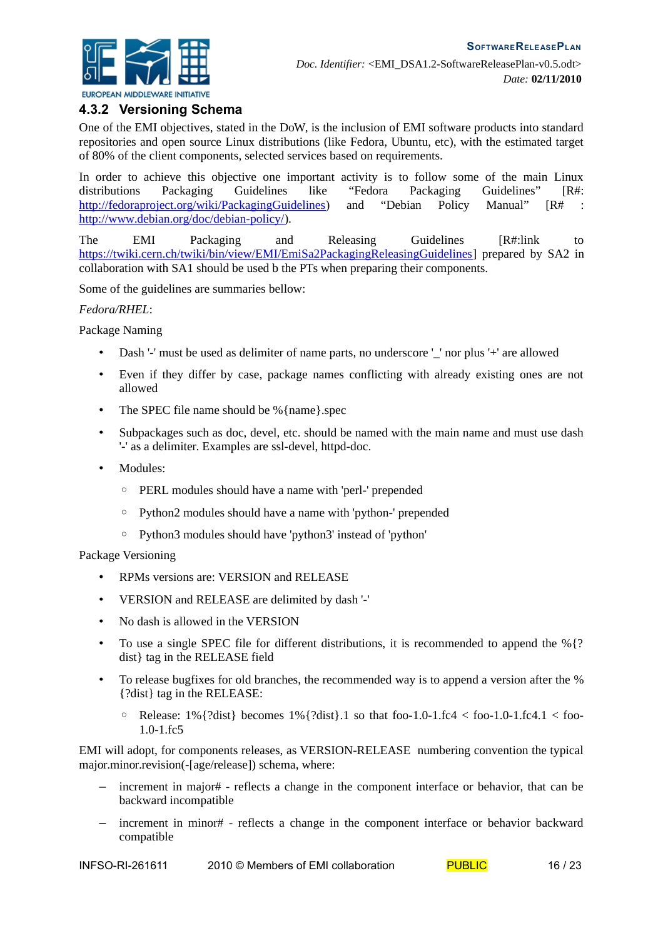

#### **4.3.2 Versioning Schema**

One of the EMI objectives, stated in the DoW, is the inclusion of EMI software products into standard repositories and open source Linux distributions (like Fedora, Ubuntu, etc), with the estimated target of 80% of the client components, selected services based on requirements.

In order to achieve this objective one important activity is to follow some of the main Linux distributions Packaging Guidelines like "Fedora Packaging Guidelines" [R#: [http://fedoraproject.org/wiki/PackagingGuidelines\)](http://fedoraproject.org/wiki/PackagingGuidelines) and "Debian Policy Manual" [R# : [http://www.debian.org/doc/debian-policy/\)](http://www.debian.org/doc/debian-policy/).

The EMI Packaging and Releasing Guidelines [R#:link to [https://twiki.cern.ch/twiki/bin/view/EMI/EmiSa2PackagingReleasingGuidelines\]](https://twiki.cern.ch/twiki/bin/view/EMI/EmiSa2PackagingReleasingGuidelines) prepared by SA2 in collaboration with SA1 should be used b the PTs when preparing their components.

Some of the guidelines are summaries bellow:

#### *Fedora/RHEL*:

Package Naming

- Dash '-' must be used as delimiter of name parts, no underscore ' ' nor plus '+' are allowed
- Even if they differ by case, package names conflicting with already existing ones are not allowed
- The SPEC file name should be %{name}.spec
- Subpackages such as doc, devel, etc. should be named with the main name and must use dash '-' as a delimiter. Examples are ssl-devel, httpd-doc.
- Modules:
	- PERL modules should have a name with 'perl-' prepended
	- Python2 modules should have a name with 'python-' prepended
	- Python3 modules should have 'python3' instead of 'python'

#### Package Versioning

- RPMs versions are: VERSION and RELEASE
- VERSION and RELEASE are delimited by dash '-'
- No dash is allowed in the VERSION
- To use a single SPEC file for different distributions, it is recommended to append the %{? dist} tag in the RELEASE field
- To release bugfixes for old branches, the recommended way is to append a version after the % {?dist} tag in the RELEASE:
	- Release: 1%{?dist} becomes 1%{?dist}.1 so that foo-1.0-1.fc4 < foo-1.0-1.fc4.1 < foo-1.0-1.fc5

EMI will adopt, for components releases, as VERSION-RELEASE numbering convention the typical major.minor.revision(-[age/release]) schema, where:

- increment in major# reflects a change in the component interface or behavior, that can be backward incompatible
- increment in minor# reflects a change in the component interface or behavior backward compatible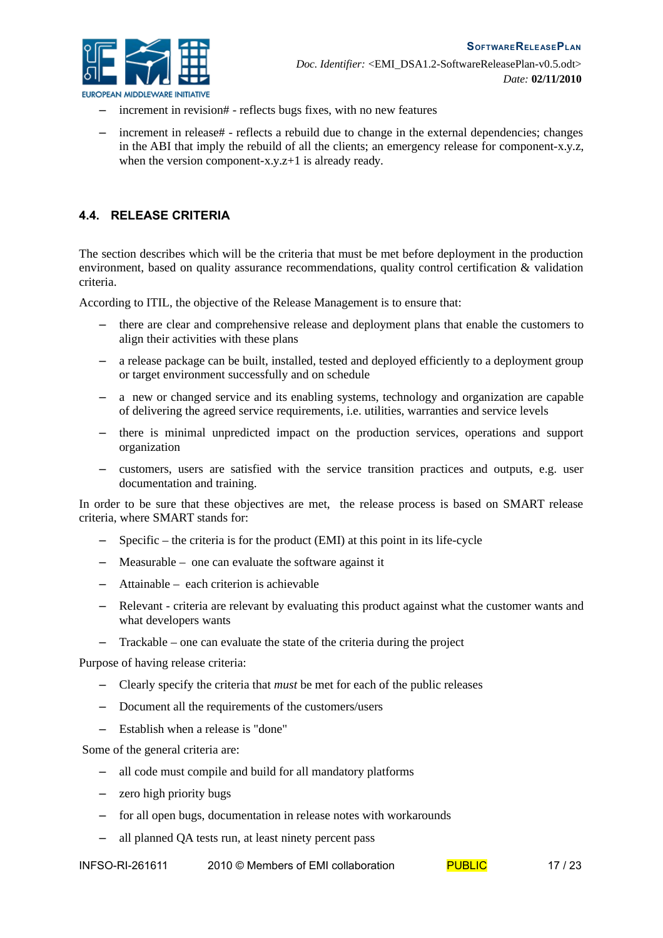

- increment in revision# reflects bugs fixes, with no new features
- increment in release# reflects a rebuild due to change in the external dependencies; changes in the ABI that imply the rebuild of all the clients; an emergency release for component-x.y.z, when the version component-x.y.z+1 is already ready.

#### **4.4. RELEASE CRITERIA**

The section describes which will be the criteria that must be met before deployment in the production environment, based on quality assurance recommendations, quality control certification & validation criteria.

According to ITIL, the objective of the Release Management is to ensure that:

- there are clear and comprehensive release and deployment plans that enable the customers to align their activities with these plans
- a release package can be built, installed, tested and deployed efficiently to a deployment group or target environment successfully and on schedule
- a new or changed service and its enabling systems, technology and organization are capable of delivering the agreed service requirements, i.e. utilities, warranties and service levels
- there is minimal unpredicted impact on the production services, operations and support organization
- customers, users are satisfied with the service transition practices and outputs, e.g. user documentation and training.

In order to be sure that these objectives are met, the release process is based on SMART release criteria, where SMART stands for:

- Specific the criteria is for the product (EMI) at this point in its life-cycle
- Measurable one can evaluate the software against it
- Attainable each criterion is achievable
- Relevant criteria are relevant by evaluating this product against what the customer wants and what developers wants
- Trackable one can evaluate the state of the criteria during the project

Purpose of having release criteria:

- Clearly specify the criteria that *must* be met for each of the public releases
- Document all the requirements of the customers/users
- Establish when a release is "done"

Some of the general criteria are:

- all code must compile and build for all mandatory platforms
- zero high priority bugs
- for all open bugs, documentation in release notes with workarounds
- all planned QA tests run, at least ninety percent pass

INFSO-RI-261611 2010 © Members of EMI collaboration  $PUBLIC$  17 / 23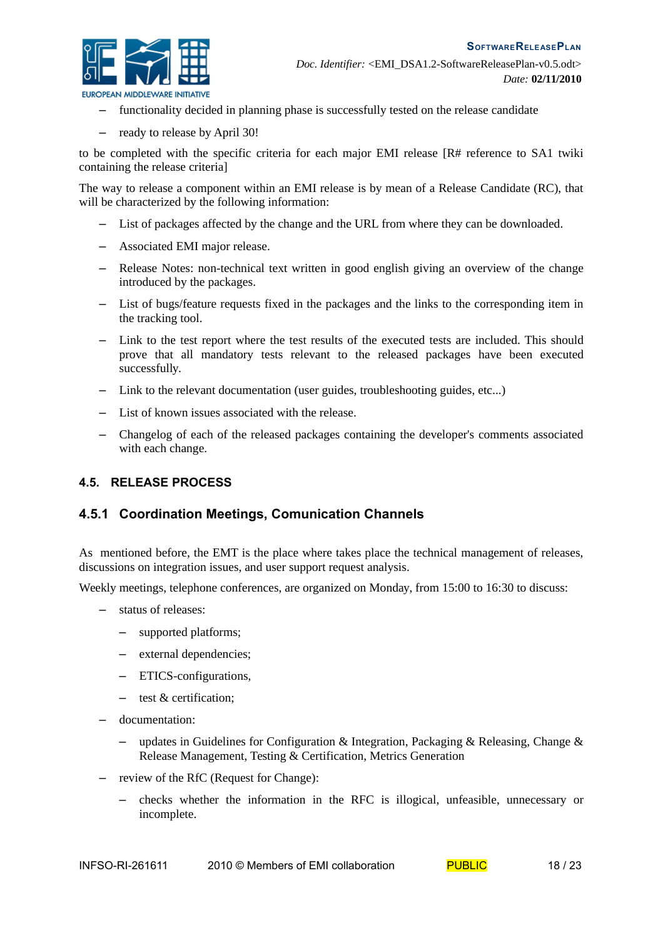

- functionality decided in planning phase is successfully tested on the release candidate
- ready to release by April 30!

to be completed with the specific criteria for each major EMI release [R# reference to SA1 twiki containing the release criteria]

The way to release a component within an EMI release is by mean of a Release Candidate (RC), that will be characterized by the following information:

- List of packages affected by the change and the URL from where they can be downloaded.
- Associated EMI major release.
- Release Notes: non-technical text written in good english giving an overview of the change introduced by the packages.
- List of bugs/feature requests fixed in the packages and the links to the corresponding item in the tracking tool.
- Link to the test report where the test results of the executed tests are included. This should prove that all mandatory tests relevant to the released packages have been executed successfully.
- Link to the relevant documentation (user guides, troubleshooting guides, etc...)
- List of known issues associated with the release.
- Changelog of each of the released packages containing the developer's comments associated with each change.

#### **4.5. RELEASE PROCESS**

#### **4.5.1 Coordination Meetings, Comunication Channels**

As mentioned before, the EMT is the place where takes place the technical management of releases, discussions on integration issues, and user support request analysis.

Weekly meetings, telephone conferences, are organized on Monday, from 15:00 to 16:30 to discuss:

- status of releases:
	- supported platforms;
	- external dependencies;
	- ETICS-configurations,
	- test & certification;
- documentation:
	- updates in Guidelines for Configuration & Integration, Packaging & Releasing, Change  $\&$ Release Management, Testing & Certification, Metrics Generation
- review of the RfC (Request for Change):
	- checks whether the information in the RFC is illogical, unfeasible, unnecessary or incomplete.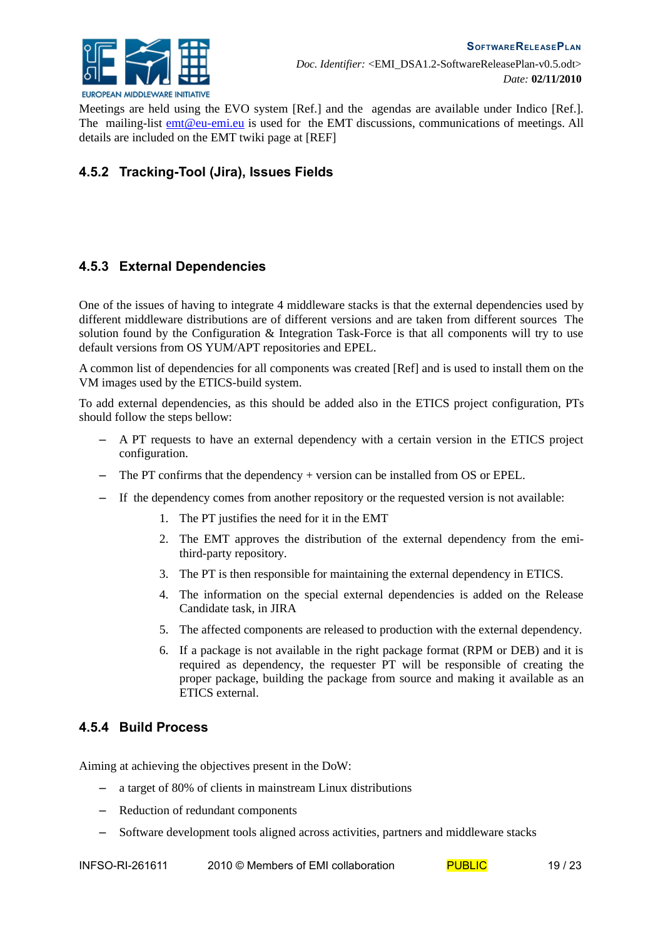

Meetings are held using the EVO system [Ref.] and the agendas are available under Indico [Ref.]. The mailing-list [emt@eu-emi.eu](mailto:emt@eu-emi.eu) is used for the EMT discussions, communications of meetings. All details are included on the EMT twiki page at [REF]

#### **4.5.2 Tracking-Tool (Jira), Issues Fields**

#### **4.5.3 External Dependencies**

One of the issues of having to integrate 4 middleware stacks is that the external dependencies used by different middleware distributions are of different versions and are taken from different sources The solution found by the Configuration & Integration Task-Force is that all components will try to use default versions from OS YUM/APT repositories and EPEL.

A common list of dependencies for all components was created [Ref] and is used to install them on the VM images used by the ETICS-build system.

To add external dependencies, as this should be added also in the ETICS project configuration, PTs should follow the steps bellow:

- A PT requests to have an external dependency with a certain version in the ETICS project configuration.
- The PT confirms that the dependency + version can be installed from OS or EPEL.
- If the dependency comes from another repository or the requested version is not available:
	- 1. The PT justifies the need for it in the EMT
	- 2. The EMT approves the distribution of the external dependency from the emithird-party repository.
	- 3. The PT is then responsible for maintaining the external dependency in ETICS.
	- 4. The information on the special external dependencies is added on the Release Candidate task, in JIRA
	- 5. The affected components are released to production with the external dependency.
	- 6. If a package is not available in the right package format (RPM or DEB) and it is required as dependency, the requester PT will be responsible of creating the proper package, building the package from source and making it available as an ETICS external.

#### **4.5.4 Build Process**

Aiming at achieving the objectives present in the DoW:

- a target of 80% of clients in mainstream Linux distributions
- Reduction of redundant components
- Software development tools aligned across activities, partners and middleware stacks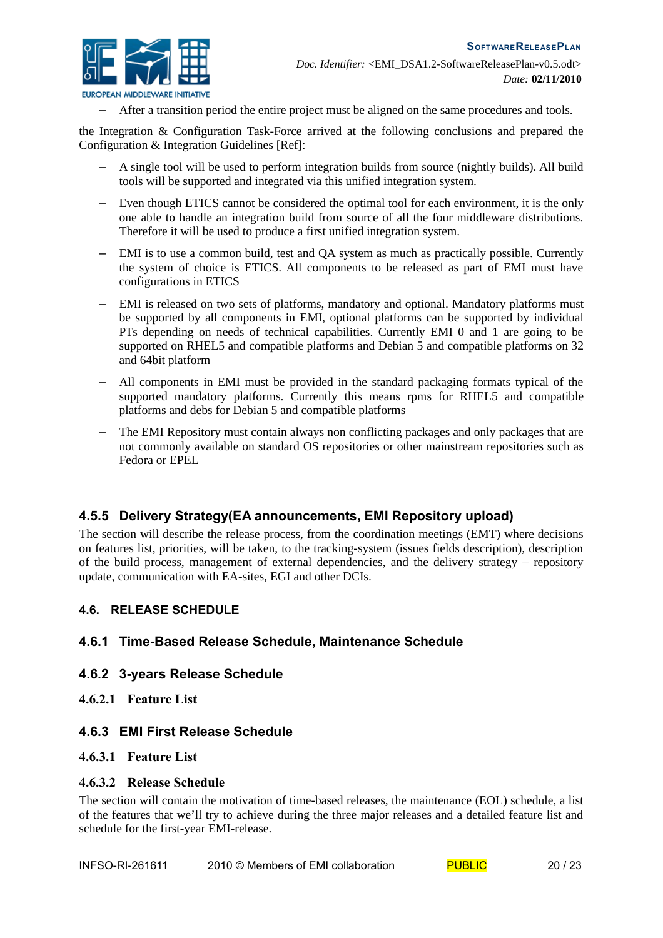

– After a transition period the entire project must be aligned on the same procedures and tools.

the Integration & Configuration Task-Force arrived at the following conclusions and prepared the Configuration & Integration Guidelines [Ref]:

- A single tool will be used to perform integration builds from source (nightly builds). All build tools will be supported and integrated via this unified integration system.
- Even though ETICS cannot be considered the optimal tool for each environment, it is the only one able to handle an integration build from source of all the four middleware distributions. Therefore it will be used to produce a first unified integration system.
- EMI is to use a common build, test and QA system as much as practically possible. Currently the system of choice is ETICS. All components to be released as part of EMI must have configurations in ETICS
- EMI is released on two sets of platforms, mandatory and optional. Mandatory platforms must be supported by all components in EMI, optional platforms can be supported by individual PTs depending on needs of technical capabilities. Currently EMI 0 and 1 are going to be supported on RHEL5 and compatible platforms and Debian 5 and compatible platforms on 32 and 64bit platform
- All components in EMI must be provided in the standard packaging formats typical of the supported mandatory platforms. Currently this means rpms for RHEL5 and compatible platforms and debs for Debian 5 and compatible platforms
- The EMI Repository must contain always non conflicting packages and only packages that are not commonly available on standard OS repositories or other mainstream repositories such as Fedora or EPEL

#### **4.5.5 Delivery Strategy(EA announcements, EMI Repository upload)**

The section will describe the release process, from the coordination meetings (EMT) where decisions on features list, priorities, will be taken, to the tracking-system (issues fields description), description of the build process, management of external dependencies, and the delivery strategy – repository update, communication with EA-sites, EGI and other DCIs.

#### **4.6. RELEASE SCHEDULE**

#### **4.6.1 Time-Based Release Schedule, Maintenance Schedule**

#### **4.6.2 3-years Release Schedule**

**4.6.2.1 Feature List**

#### **4.6.3 EMI First Release Schedule**

#### **4.6.3.1 Feature List**

#### **4.6.3.2 Release Schedule**

The section will contain the motivation of time-based releases, the maintenance (EOL) schedule, a list of the features that we'll try to achieve during the three major releases and a detailed feature list and schedule for the first-year EMI-release.

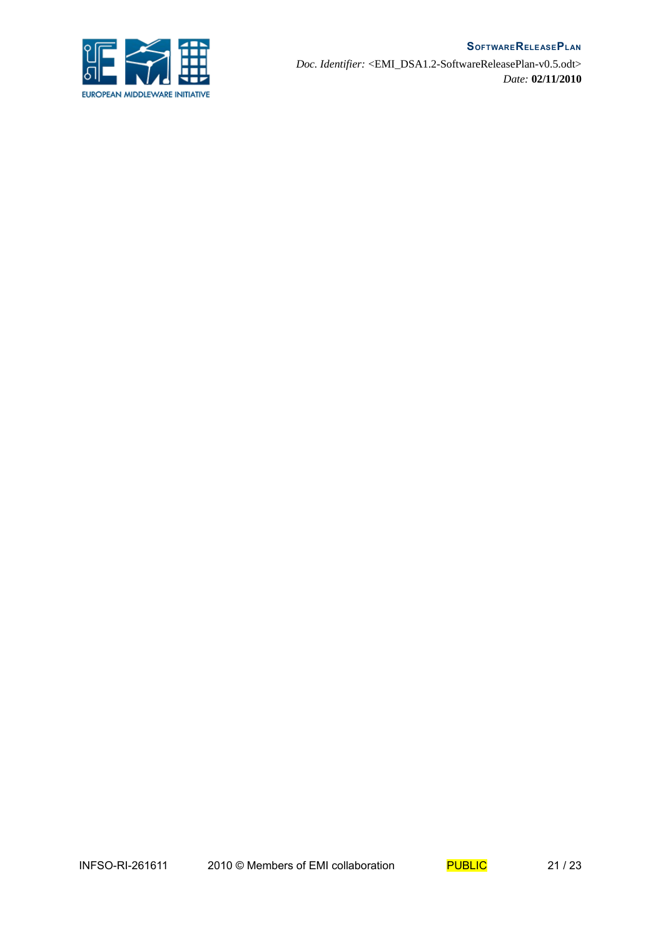#### **SOFTWARERELEASEPLAN**



*Doc. Identifier:* <EMI\_DSA1.2-SoftwareReleasePlan-v0.5.odt> *Date:* **02/11/2010**

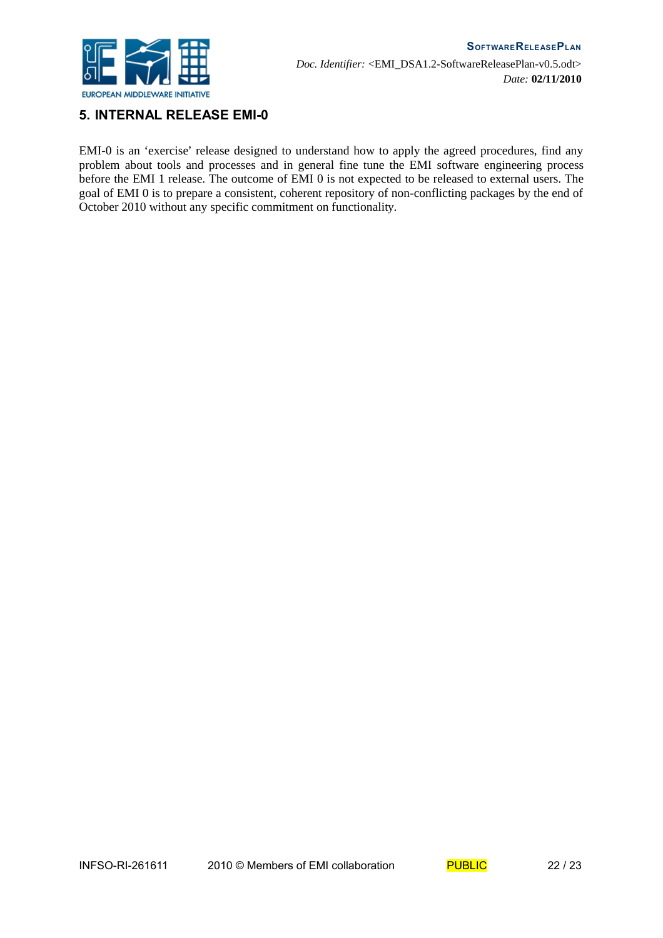

#### **5. INTERNAL RELEASE EMI-0**

EMI-0 is an 'exercise' release designed to understand how to apply the agreed procedures, find any problem about tools and processes and in general fine tune the EMI software engineering process before the EMI 1 release. The outcome of EMI 0 is not expected to be released to external users. The goal of EMI 0 is to prepare a consistent, coherent repository of non-conflicting packages by the end of October 2010 without any specific commitment on functionality.